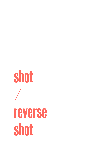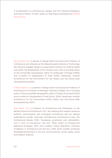A Conversation on Architecture, Design and the Climate Emergency with Rania Ghosn, El Hadi Jazairy & Peg Rawes facilitated by Rodney Harrison (RH)

Rania Ghosn (RG) is partner of Design Earth and Associate Professor of Architecture and Urbanism at the Massachusetts Institute of Technology. Her practice engages design as a speculative medium for making visible and public the geographies of the climate crisis. She is founding editor of the journal *New Geographies*, editor of *Landscapes of Energy* (2009), and co-author of *Geographies of Trash* (2015), *Geostories: Another Architecture for the Environment* (2nd ed. 2020), and *The Planet After Geoengineering* (2021).

El Hadi Jazairy (EJ) is partner of Design Earth and Associate Professor of Architecture at University of Michigan Taubman College. He is founding editor of the journal *New Geographies*, editor of *Scales of the Earth* (2011), and co-author of *Geographies of Trash* (Actar, 2015); *Geostories: Another Architecture for the Environment* (2018; 2020); and *The Planet After Geoengineering* (2021).

Peg Rawes (PR) is Professor of Architecture and Philosophy at the Bartlett School of Architecture, UCL. Her teaching and research examine political, technological and ecological architecture and art. Recent publications include: 'Interview: Architectures & practices of care, *The Architectural Review*, 2021; 'Visualising uncertainty and vulnerability', *Life in Time of Coronavirus,*  IAS UCL, 2020; editor of *Architectural Relational Ecologies,*  2013, and co-editor, *Poetic Biopolitics: Practices of Relation in Architecture and the Arts*, 2016, which publish architects alongside practitioners in the arts, environmental, human rights, social and medical research.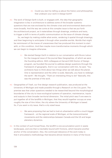## RH Could you start by telling us about the history and philosophies that underpin your work in Design Earth?

RG The work of Design Earth is built, or engages with, the idea that geographic imagination is key in architecture to address some of the broader systemic questions that are now enclosed by the climate crisis and environmental destruction more broadly. And the way we come at this complex issue is that we put forth the architectural project, as it materialises through drawings, artefacts and texts, to trigger a shift in terms of public communication on the issue of climate change.

So, we begin by making visible what exists, rendering it spatial through drawings, and then beginning to anticipate it through other possible worlds. Worlds that might be reminiscent of the traces of unevenness that has produced this moment to start with, or this condition. And then maybe more transformative moments through which we can begin to imagine otherwise.

- EJ We started Design Earth in relation to our conversation with Bruno Latour for the inaugural issue of the journal *New Geographies*, of which we were the founding editors. With colleagues at Harvard GSD Doctor of Design program, we founded the journal to address design questions through the framework of geography. And in our conversation with him, he said, "You architects have to think about two things when we talk about the planet. One is representation and the other is scale. Basically, you have to redesign the earth". We thought, "That's an interesting thing to do!" Basically, this was the premise of the work.
- RG *Geographies of Trash*, our first design research publication, was produced at the University of Michigan and made possible through a Research on the City grant. The premise was that urban questions needed to be researched beyond the morphological boundaries of the city to trace ecological systems of operation, maintenance, inputs and outputs in their broader territorial dimension. The initial pitch was if one were to put together all of the landfills in Michigan, that they would together occupy an area roughly the size of Ann Arbor, the city where the University of Michigan is based. So, if you want a city issue, that's a city *sized* issue.
	- EJ We were proposing that we had to look at urbanisation within a much bigger framework – at the regional scale of Michigan, at the transcontinental movements and the relationships between Canada and the US and larger planetary dynamics.
- RG In the context of such broad flows, the landfill is one accumulation point in waste landscapes, and one that is inevitably bound with frictions, which became another anchor of the conversation. Also, the continued relevance of the work today is that it articulated a methodology that became almost iterative in many of the future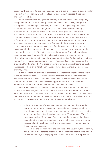Design Earth projects. So, the book *Geographies of Trash* is organised around a similar logic to the methodology, which is in four parts: construct, represent, project and then assemble.

*Construct* identifies a key question that might be peripheral to contemporary design concern, but core to the organisation of space – be it trash, energy, etc. It is a process of building a vocabulary of alliances with adjacent spatial fields, environmental history, critical geography, history of science and technology, architecture and art, places where responses to these questions have already articulated a spatial vocabulary. *Represent* is the development of the visualisations, diagrams, facts of matter to begin to place dimensions, distances, relations, actors, in formats such as an actor-network diagram or spatial and temporal mappings. And because these systemic questions unfold in multiple sites and a series of nodes once you've explored the black box of technology, we begin to respond to each typological node as conditions that are very situated. So, the geographic embeddedness of each of the sites is of great importance. And each node issue becomes a speculative *project* that explicates the issue and concern in a way which allows us to begin to imagine how it can be otherwise. And once they multiply, you can't really leave a project in many parts. The *assemble* section becomes this provisional "putting together" of these projects in a media format that makes public the research – be it an installation in an art gallery, a text, eventually a panorama, drawing, a film.

So, the architectural drawing is presented in formats that might be more public in nature. Our next book *Geostories: Another Architecture for the Environment*, was based around a series of 14 commissions from art institutions and events or competition entries, each of which was an opportunity for to us to experiment with how to tell the story of the environmental and climate crisis.

Climate, we observed, is inherently a category that is mediated, one that rests on statistics, satellite imagery, or data sets made possible through computation. How do we shift climate from a domain in which we comprehend it cognitively or intellectually, to one where we can begin to address it in more visceral, affective modes? How do you begin to intervene within a broader set of environmental stories?

EJ I think *Geographies of Trash* was an interesting moment, because the presentation of the work was first in an academic context for architects, for urban planners and designers, and was later exhibited in venues with a broader audience. So, the urban research of "Geographies of Trash" was presented as "Georama of Trash". And, at that moment, the idea of reception, the presence of audience, of ways of seeing, ways of sharing, reassembling through the visual, and of making sense – communication became more important.

And it is the moment when the miniature – the aquarium, the terrarium, the planetarium – became important. It's the moment where natural history museums and ways of engaging publics became pivotal in our practice.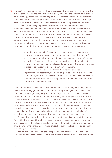RG The position of *Geostories* was that if we're addressing the contemporary moment of the climate crisis, that we shouldn't just be exclusively fixated on the photograph of the bear on the melting glacier. As Rob Nixon argues in *Slow Violence and the Environmentalism of the Poor*, we are witnessing a moment of the climate crisis which is part of a lineage of uneven distribution of the values and costs in the relationship to the environment.

So, when the *Reimagining Museums for Climate Action* competition was announced, we had a body of work, a method, which was representational drawing, which was expanding from a scholarly ambition and articulation on climate to involve more "on the street" action. At that moment, we were beginning to think about ways of bringing together these two bodies of work. Is there a way that we can still do with the drawing practice what we were doing in physical sites? Can there be a representational agency as part of a climate activism? So, this is when we discovered the competition, thinking of the museum in particular, as a site for intervention.

PR I find the museum really fascinating as a space where you can present narratives or propositions of practice, which may be artistic or scientific or historical, material worlds. And if you meet someone in front of a piece of work you've not met before, or who comes from a different place, the conversation can be so open-ended, and it can change the concept of what a practice or an artefact or a world can be very quickly.

There is much to be learned in this field about transversal representational aesthetics, social justice, political, scientific, governance, and actually, the cultural concept of a museum. So, I think the competition provided an important platform to open up the debate on whatever future form the museum might take.

RG There are two ways in which museums, particularly natural history museums, appeal to us as sites of engagement. One is the fact that they are magnets for publics who don't necessarily align along party lines or ideological positions in their views with respect to climate change – you're neither speaking to the people who already signed up to the Greenpeace mailing list nor to climate denialists. Typically, in natural history or history museums, you have a visit to what remains of a 19<sup>th</sup> century relic of nature. Often organised somehow chronologically, you end with the contemporary moment in which the museum is trying to address the Anthropocene and how to speak about climate change. The visit typically ends with a little chamber, often anti-climactic, and without the sense of curiosity and wonder that characterises the museum.

So, you often end with a series of very discrete testimonials by scientific experts. You just had your mind blown by the glass flowers and the collections and the colours and the scales. And you lead to that final moment where both the tone and the objects are a bit underwhelming. And so, you're probably hungry, the kids are loud, and you're just exiting at that point.

And so, how do you channel the energy and appeal of these institutions to address the question of climate change? Such museums are by far the most visited institutions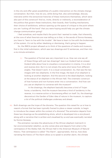in the city and offer great possibilities of a public intervention on the climate change conversation. But then, how do you, while doing that, also acknowledge, discuss, intervene within the extractivist histories of these institutions themselves, which were also part of this construct? And so, invite, directly or indirectly, a reconsideration of the politics that govern these institutions, their boards, their funding mechanisms, their choice of exhibitions, without opening up the space of critique to the point where you are "cutting off the hand" that you were hoping would help you get the climate change communication going?

I feel somehow, and maybe that's the point that I wanted to make, that inherently, at the core of what theorists are now telling us is that, in the words of Donna Haraway, you have to "learn to live with the trouble". We have to learn to live with the brokenness of the system. It's not by either idealising or dismissing, that's going to happen.

So, the *RMCA* project allowed us to think of the questions of media and museum, first in the initial submission, which was two drawings and 12 sentences, and then into a six-minute animation.

EJ The question of format was very important to us. How can one say all of these things with just two drawings? Jean-Luc Godard had an answer. Godard talks about how to visualise a conversation in cinema. It is a shot and reverse shot. But it is not simply the same shot twice from different angles. That doesn't work. It is a visual conversation. So, that was the two images with two elephants. In the first image, the back of an elephant is looking at another elephant. And the second is the dead elephant, looking at the statue of an elephant in the African Hall. The cinematic construct of how humans and non-humans enter into a conversation. And how can you use an elephant to converse with the museum?

In the drawings, the elephant basically becomes a kind of Trojan horse, a taxidermy. And the museum becomes a kind of taxidermy in the reverse, in a reverse action or boomerang effect on itself. So, the drawings deconstruct the Garden of Eden idea of nature in the museum, to capture a lot of the political challenges underway and ahead.

RG Both drawings use the trope of the diorama. The question this raised for us is how to rework a format that has been typically framed to place a viewer outside, to begin to introduce the viewer within the context of a diorama? The animation departs from these two drawings as the establishing shots, which is developed into a storyboard, along with a narrative that is written and visualised by us and was eventually narrated by Donna Haraway.

The animation narrates the adventures of the African elephant matriarch in her environmentalist rebellion, as she comes alive and departs from what is the centrepiece of the Akeley Hall, the African Hall in the American Museum of Natural History. That centrepiece is called "The Alarm", appropriately. And so, how does narrating the history of The Alarm allow us to speak to another alarm, the climate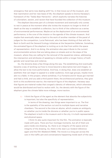emergency that we're now dealing with? So, in that move out of the museum, and that reanimation and her new lease of life, the elephant speaks to Donna Haraway's framework of the "Teddy Bear Patriarchy", which explicitly narrates the histories of colonialism, sexism, and racism that have founded the collection of this museum.

The elephant becomes part of a climate movement and eventually only comes to rest in peace at the moment when she invites the museum no longer to think of death as the way to establish a collection, but to think of the collection as a series of environmental performances. Maybe art as the deployment of an environmental performance, is the core of the mission or the agenda of the climate museum. And maybe that eventually takes us back to the work of another member of the panel of judges for the competition, Lucia Pietroiusti, who has been thinking of that with the Back to Earth and the General Ecology initiatives at the Serpentine Galleries. Somehow, the animated figure of the elephant is inviting us to do that from within the space of representation. And in so doing, the animation also pays tribute to the current environmentalist actions that are taking place on streets and on the steps of the museum, where they are calling for the removal of the equestrian statue, addressing the intersection and attributes of speaking to climate within a longer history of both gender and racial bias and violence.

So, the diorama does a few things along the way. The establishing shot eventually became a way of working out how to move beyond a descriptive text and images, to allow the text to be more performative. And how, in doing that, does one establish an aesthetic that can begin to appeal to a wider audience, more age groups, maybe more akin to a fable. In this project, where somehow, if La Fontaine and Dr Seuss got married and had a child, and you add a third parent there, the architectural parlance, they give birth to this ecofeminist warrior, the matriarch figure of the elephant. Haraway says that figures are material nodes that congeal a density of references, which otherwise would be distributed and hard to reckon with. So, the density with the figure of the elephant gives the climate fable more mileage, more traction.

EJ I think the figure of the agent as the element that absorbs the subjectivity is important, but also the specificity of representation.

In terms of the drawing, two things were important to us. The first is the spatiality of the section cut and its multiple layers and narrative chambers. The second is the *mise en abyme*, which creates an ambiguity on whether you're inside the diorama or whether you're in public space. The elephant is both in the museum and in the city, it is both representation and physical space.

I think it's also quite important for the film. The animation is basically made with pans. There are four montage moments, but all of them are pans inside one drawing. So, there is an integrity of the space and an integrity of the drawing. So, there is the Jean-Luc Godard reference again and the film *Weekend* (1968). The movie is a long pan across the cars in the traffic jam and conversations happening inside each of the cars.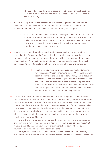The capacity of the drawing to establish relationships through sections between multiple realities and create connections and intersections is, for us, quite key.

- RG It's like drawing itself has the capacity to draw things together. The chambers of the elephant somehow impart on the diorama the possibility to cast and recount an environmental history with an environmental future yet to happen.
	- EJ It's also about speculative narration, how do you advocate for a belief in an alternative future, one that is not doomed by climate collapse? How do you make that alternative world worth building? How do you give it a chance? It's by using figures, by using subjects that are able to carry or to pull together such alternative constructs.
- RG It feels like a critical design lens merely projects very small windows for a future otherwise. The *Elephant in the Room* is the closest we have come to addressing how we might begin to imagine other possible worlds, which is at the core of the agency of speculation. It's not just about projecting a climate doomsday scenario or business as usual. At its core, it's a reformulation of environmental values and concerns.
	- RH I think what you were saying connects in a really interesting way with Amitav Ghosh's arguments in *The Great Derangement*, about the limits of the novel as a literary form, and its focus on the individual narrator, for telling the stories of climate change, and the need to develop new modes of storytelling and new modes of representation to address the climate emergency. This touches on questions of temporality, the relationship between aesthetics and politics, and the role of speculation.
- PR The film is important because it literally puts time into the project. It moves away from the idea of representation and the notion of figures being these discrete devices. This is also important because of the way artists and practitioners have tended to be bought into climate science, that is, to provide visualisations of data. These raise key questions of communication: how do we get the public to come on board with us? Artists or architects, who have representational facilities are asked to do that work: which can lose or undo the aesthetic, political or critical understandings of what drawings do, and what films do.

For me, the film is a myth: a very different notion from story and of narration or of document. In myth, you can create historical realism, but you can also make that realism expand further, for example, your comments here about where you locate yourself to be in multiple positions at any one time.

The mythical female voice is very powerful: especially the voice of Haraway, as our contemporary maker of "Gaia". She is the person weaving these stories. Her ability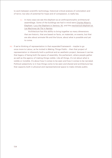to work between scientific technology, historical critical analysis of colonialism and of terror, but also of potential for hope and of compassion, is really key.

EJ In many ways we see the elephant as an anthropomorphic architectural assemblage. Some of the buildings we had in mind were [Charles Ribart's](https://en.wikipedia.org/wiki/Charles_Ribart#/media/File:Ribart_Elephant_triomphal.jpg)  [Elephant](https://en.wikipedia.org/wiki/Charles_Ribart#/media/File:Ribart_Elephant_triomphal.jpg), [Lucy the Elephant in Ventnor, NJ,](https://en.wikipedia.org/wiki/Lucy_the_Elephant) and the [mechanical elephant at](https://www.lesmachines-nantes.fr/en/discover/the-grand-elephant/)  [Les Machines de l'île in Nantes](https://www.lesmachines-nantes.fr/en/discover/the-grand-elephant/).

Architecture has this ability to bring together so many dimensions that are historic, that are based on facts, on materials, on events, but that are also about animate life and the future, about what is possible and yet to come.

RG If we're thinking of representation in that expanded framework – maybe to go once more to Latour, as he invited in *Making Things Public* – then that project of representation is inherently both a political and an aesthetic project, because it carries that legacy of being both the space of assembly, the parliament, where people gather as well as the agency of making things visible. Like all things, it's not about what is visible or invisible. It's about how it comes to be seen and how it comes to be narrated. Political subjectivity is in how things come to be seen and shared and architecture has that capacity both in physical and representational space to make climate public.